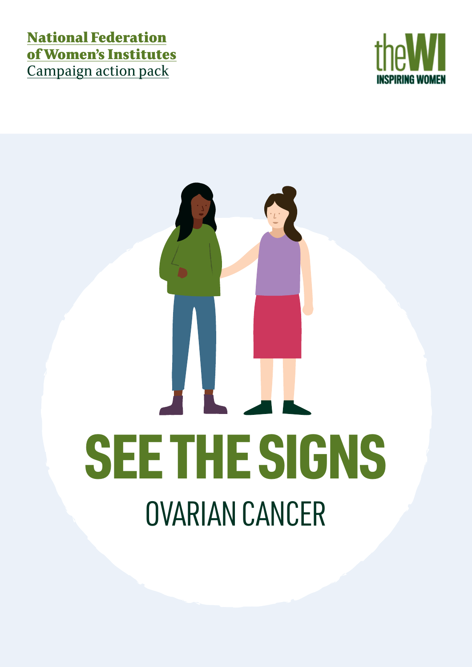## National Federation of Women's Institutes Campaign action pack



# OVARIAN CANCER SEE THE SIGNS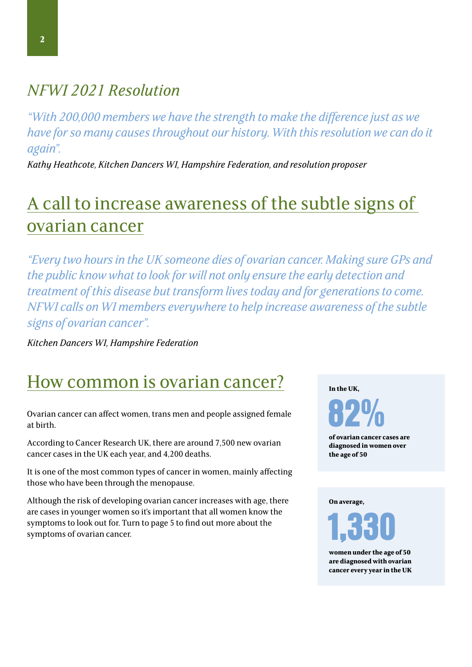## *NFWI 2021 Resolution*

*"With 200,000 members we have the strength to make the difference just as we have for so many causes throughout our history. With this resolution we can do it again".* 

*Kathy Heathcote, Kitchen Dancers WI, Hampshire Federation, and resolution proposer* 

# A call to increase awareness of the subtle signs of ovarian cancer

*"Every two hours in the UK someone dies of ovarian cancer. Making sure GPs and the public know what to look for will not only ensure the early detection and treatment of this disease but transform lives today and for generations to come. NFWI calls on WI members everywhere to help increase awareness of the subtle signs of ovarian cancer".* 

*Kitchen Dancers WI, Hampshire Federation*

## How common is ovarian cancer?

Ovarian cancer can affect women, trans men and people assigned female at birth.

According to Cancer Research UK, there are around 7,500 new ovarian cancer cases in the UK each year, and 4,200 deaths.

It is one of the most common types of cancer in women, mainly affecting those who have been through the menopause.

Although the risk of developing ovarian cancer increases with age, there are cases in younger women so it's important that all women know the symptoms to look out for. Turn to page 5 to find out more about the symptoms of ovarian cancer.

**In the UK,**

82%

**of ovarian cancer cases are diagnosed in women over the age of 50**

**On average,**



**women under the age of 50 are diagnosed with ovarian cancer every year in the UK**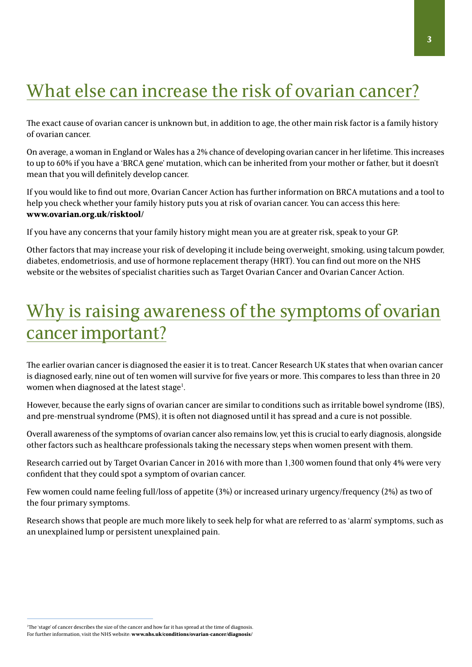# What else can increase the risk of ovarian cancer?

The exact cause of ovarian cancer is unknown but, in addition to age, the other main risk factor is a family history of ovarian cancer.

On average, a woman in England or Wales has a 2% chance of developing ovarian cancer in her lifetime. This increases to up to 60% if you have a 'BRCA gene' mutation, which can be inherited from your mother or father, but it doesn't mean that you will definitely develop cancer.

If you would like to find out more, Ovarian Cancer Action has further information on BRCA mutations and a tool to help you check whether your family history puts you at risk of ovarian cancer. You can access this here: **www.ovarian.org.uk/risktool/** 

If you have any concerns that your family history might mean you are at greater risk, speak to your GP.

Other factors that may increase your risk of developing it include being overweight, smoking, using talcum powder, diabetes, endometriosis, and use of hormone replacement therapy (HRT). You can find out more on the NHS website or the websites of specialist charities such as Target Ovarian Cancer and Ovarian Cancer Action.

# Why is raising awareness of the symptoms of ovarian cancer important?

The earlier ovarian cancer is diagnosed the easier it is to treat. Cancer Research UK states that when ovarian cancer is diagnosed early, nine out of ten women will survive for five years or more. This compares to less than three in 20 women when diagnosed at the latest stage<sup>1</sup>.

However, because the early signs of ovarian cancer are similar to conditions such as irritable bowel syndrome (IBS), and pre-menstrual syndrome (PMS), it is often not diagnosed until it has spread and a cure is not possible.

Overall awareness of the symptoms of ovarian cancer also remains low, yet this is crucial to early diagnosis, alongside other factors such as healthcare professionals taking the necessary steps when women present with them.

Research carried out by Target Ovarian Cancer in 2016 with more than 1,300 women found that only 4% were very confident that they could spot a symptom of ovarian cancer.

Few women could name feeling full/loss of appetite (3%) or increased urinary urgency/frequency (2%) as two of the four primary symptoms.

Research shows that people are much more likely to seek help for what are referred to as 'alarm' symptoms, such as an unexplained lump or persistent unexplained pain.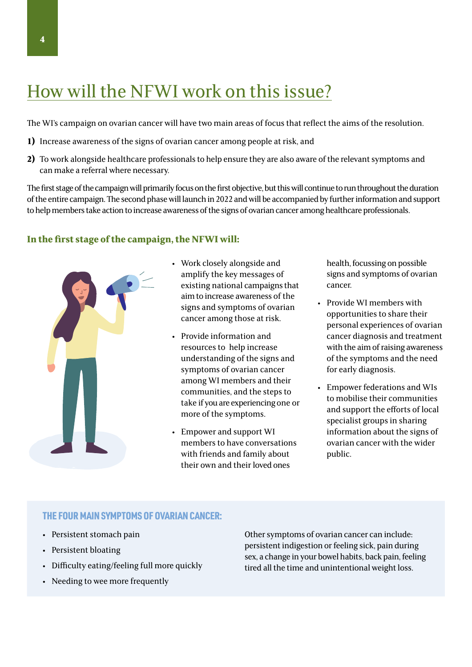# How will the NFWI work on this issue?

The WI's campaign on ovarian cancer will have two main areas of focus that reflect the aims of the resolution.

- **1)** Increase awareness of the signs of ovarian cancer among people at risk, and
- **2)** To work alongside healthcare professionals to help ensure they are also aware of the relevant symptoms and can make a referral where necessary.

The first stage of the campaign will primarily focus on the first objective, but this will continue to run throughout the duration of the entire campaign. The second phase will launch in 2022 and will be accompanied by further information and support to help members take action to increase awareness of the signs of ovarian cancer among healthcare professionals.

#### **In the first stage of the campaign, the NFWI will:**



- Work closely alongside and amplify the key messages of existing national campaigns that aim to increase awareness of the signs and symptoms of ovarian cancer among those at risk.
- Provide information and resources to help increase understanding of the signs and symptoms of ovarian cancer among WI members and their communities, and the steps to take if you are experiencing one or more of the symptoms.
- Empower and support WI members to have conversations with friends and family about their own and their loved ones

health, focussing on possible signs and symptoms of ovarian cancer.

- Provide WI members with opportunities to share their personal experiences of ovarian cancer diagnosis and treatment with the aim of raising awareness of the symptoms and the need for early diagnosis.
- Empower federations and WIs to mobilise their communities and support the efforts of local specialist groups in sharing information about the signs of ovarian cancer with the wider public.

#### THE FOUR MAIN SYMPTOMS OF OVARIAN CANCER:

- Persistent stomach pain
- Persistent bloating
- Difficulty eating/feeling full more quickly
- Needing to wee more frequently

Other symptoms of ovarian cancer can include: persistent indigestion or feeling sick, pain during sex, a change in your bowel habits, back pain, feeling tired all the time and unintentional weight loss.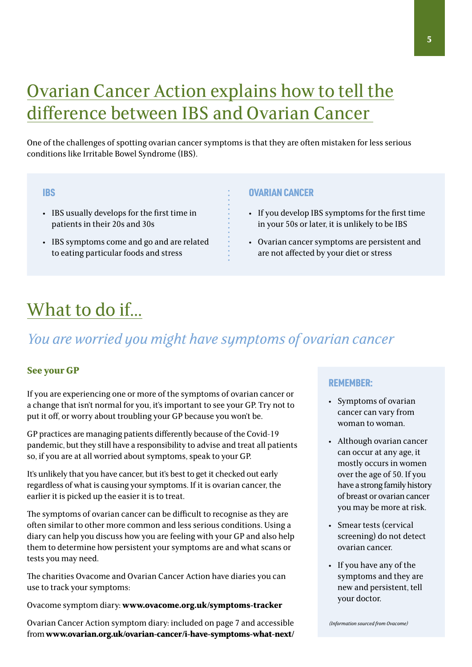# Ovarian Cancer Action explains how to tell the difference between IBS and Ovarian Cancer

One of the challenges of spotting ovarian cancer symptoms is that they are often mistaken for less serious conditions like Irritable Bowel Syndrome (IBS).

- IBS usually develops for the first time in patients in their 20s and 30s
- IBS symptoms come and go and are related to eating particular foods and stress

#### **IBS CONSULTANT CANCER CONSULTANT CANCER**

- If you develop IBS symptoms for the first time in your 50s or later, it is unlikely to be IBS
- Ovarian cancer symptoms are persistent and are not affected by your diet or stress

## What to do if...

## *You are worried you might have symptoms of ovarian cancer*

#### **See your GP**

If you are experiencing one or more of the symptoms of ovarian cancer or a change that isn't normal for you, it's important to see your GP. Try not to put it off, or worry about troubling your GP because you won't be.

GP practices are managing patients differently because of the Covid-19 pandemic, but they still have a responsibility to advise and treat all patients so, if you are at all worried about symptoms, speak to your GP.

It's unlikely that you have cancer, but it's best to get it checked out early regardless of what is causing your symptoms. If it is ovarian cancer, the earlier it is picked up the easier it is to treat.

The symptoms of ovarian cancer can be difficult to recognise as they are often similar to other more common and less serious conditions. Using a diary can help you discuss how you are feeling with your GP and also help them to determine how persistent your symptoms are and what scans or tests you may need.

The charities Ovacome and Ovarian Cancer Action have diaries you can use to track your symptoms:

Ovacome symptom diary: **www.ovacome.org.uk/symptoms-tracker**

Ovarian Cancer Action symptom diary: included on page 7 and accessible from **www.ovarian.org.uk/ovarian-cancer/i-have-symptoms-what-next/**

#### REMEMBER:

- Symptoms of ovarian cancer can vary from woman to woman.
- Although ovarian cancer can occur at any age, it mostly occurs in women over the age of 50. If you have a strong family history of breast or ovarian cancer you may be more at risk.
- Smear tests (cervical screening) do not detect ovarian cancer.
- If you have any of the symptoms and they are new and persistent, tell your doctor.

*(Information sourced from Ovacome)*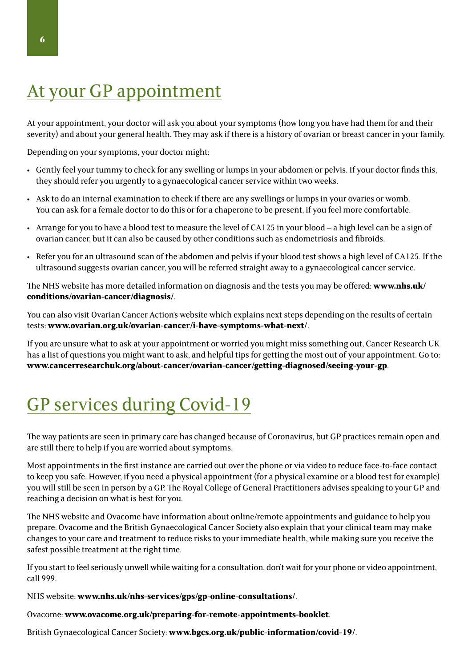# At your GP appointment

At your appointment, your doctor will ask you about your symptoms (how long you have had them for and their severity) and about your general health. They may ask if there is a history of ovarian or breast cancer in your family.

Depending on your symptoms, your doctor might:

- Gently feel your tummy to check for any swelling or lumps in your abdomen or pelvis. If your doctor finds this, they should refer you urgently to a gynaecological cancer service within two weeks.
- Ask to do an internal examination to check if there are any swellings or lumps in your ovaries or womb. You can ask for a female doctor to do this or for a chaperone to be present, if you feel more comfortable.
- Arrange for you to have a blood test to measure the level of CA125 in your blood a high level can be a sign of ovarian cancer, but it can also be caused by other conditions such as endometriosis and fibroids.
- Refer you for an ultrasound scan of the abdomen and pelvis if your blood test shows a high level of CA125. If the ultrasound suggests ovarian cancer, you will be referred straight away to a gynaecological cancer service.

The NHS website has more detailed information on diagnosis and the tests you may be offered: **www.nhs.uk/ conditions/ovarian-cancer/diagnosis/**.

You can also visit Ovarian Cancer Action's website which explains next steps depending on the results of certain tests: **www.ovarian.org.uk/ovarian-cancer/i-have-symptoms-what-next/**.

If you are unsure what to ask at your appointment or worried you might miss something out, Cancer Research UK has a list of questions you might want to ask, and helpful tips for getting the most out of your appointment. Go to: **www.cancerresearchuk.org/about-cancer/ovarian-cancer/getting-diagnosed/seeing-your-gp**.

# GP services during Covid-19

The way patients are seen in primary care has changed because of Coronavirus, but GP practices remain open and are still there to help if you are worried about symptoms.

Most appointments in the first instance are carried out over the phone or via video to reduce face-to-face contact to keep you safe. However, if you need a physical appointment (for a physical examine or a blood test for example) you will still be seen in person by a GP. The Royal College of General Practitioners advises speaking to your GP and reaching a decision on what is best for you.

The NHS website and Ovacome have information about online/remote appointments and guidance to help you prepare. Ovacome and the British Gynaecological Cancer Society also explain that your clinical team may make changes to your care and treatment to reduce risks to your immediate health, while making sure you receive the safest possible treatment at the right time.

If you start to feel seriously unwell while waiting for a consultation, don't wait for your phone or video appointment, call 999.

NHS website: **www.nhs.uk/nhs-services/gps/gp-online-consultations/**.

Ovacome: **www.ovacome.org.uk/preparing-for-remote-appointments-booklet**.

British Gynaecological Cancer Society: **www.bgcs.org.uk/public-information/covid-19/**.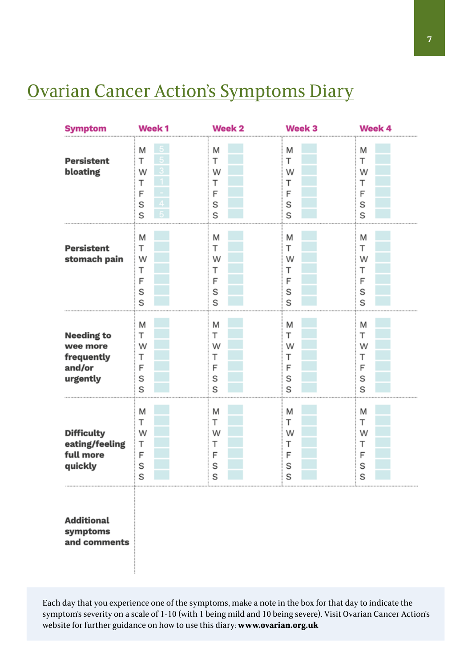## Ovarian Cancer Action's Symptoms Diary

| <b>Symptom</b>                                                    | Week <sub>1</sub>               | Week <sub>2</sub>               | Week 3                          | Week 4                          |
|-------------------------------------------------------------------|---------------------------------|---------------------------------|---------------------------------|---------------------------------|
| <b>Persistent</b><br>bloating                                     | M<br>т<br>W<br>т<br>F<br>S<br>S | M<br>T<br>W<br>т<br>F<br>S<br>S | M<br>Т<br>W<br>Т<br>F<br>S<br>S | M<br>Т<br>W<br>Т<br>F<br>S<br>S |
| <b>Persistent</b><br>stomach pain                                 | M<br>T<br>W<br>Т<br>F<br>S<br>S | M<br>T<br>W<br>т<br>F<br>S<br>S | M<br>Т<br>W<br>Т<br>F<br>S<br>S | M<br>Т<br>W<br>Т<br>F<br>S<br>S |
| <b>Needing to</b><br>wee more<br>frequently<br>and/or<br>urgently | M<br>Т<br>W<br>Т<br>F<br>S<br>S | M<br>т<br>W<br>Т<br>F<br>S<br>S | M<br>т<br>W<br>т<br>F<br>S<br>S | M<br>т<br>W<br>Т<br>F<br>S<br>S |
| <b>Difficulty</b><br>eating/feeling<br>full more<br>quickly       | M<br>Т<br>W<br>Т<br>F<br>S<br>S | M<br>Т<br>W<br>Т<br>F<br>S<br>S | Μ<br>Т<br>W<br>Τ<br>F<br>S<br>S | M<br>Т<br>W<br>Т<br>F<br>S<br>S |
| <b>Additional</b><br>symptoms<br>and comments                     |                                 |                                 |                                 |                                 |

Each day that you experience one of the symptoms, make a note in the box for that day to indicate the symptom's severity on a scale of 1-10 (with 1 being mild and 10 being severe). Visit Ovarian Cancer Action's website for further guidance on how to use this diary: **www.ovarian.org.uk**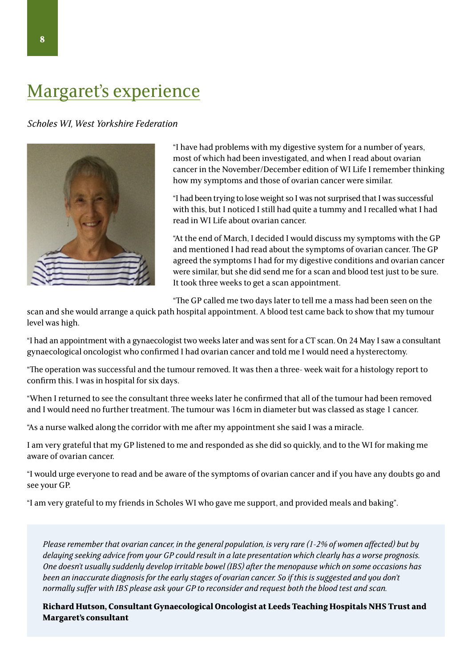## Margaret's experience

*Scholes WI, West Yorkshire Federation*



"I have had problems with my digestive system for a number of years, most of which had been investigated, and when I read about ovarian cancer in the November/December edition of WI Life I remember thinking how my symptoms and those of ovarian cancer were similar.

"I had been trying to lose weight so I was not surprised that I was successful with this, but I noticed I still had quite a tummy and I recalled what I had read in WI Life about ovarian cancer.

"At the end of March, I decided I would discuss my symptoms with the GP and mentioned I had read about the symptoms of ovarian cancer. The GP agreed the symptoms I had for my digestive conditions and ovarian cancer were similar, but she did send me for a scan and blood test just to be sure. It took three weeks to get a scan appointment.

"The GP called me two days later to tell me a mass had been seen on the

scan and she would arrange a quick path hospital appointment. A blood test came back to show that my tumour level was high.

"I had an appointment with a gynaecologist two weeks later and was sent for a CT scan. On 24 May I saw a consultant gynaecological oncologist who confirmed I had ovarian cancer and told me I would need a hysterectomy.

"The operation was successful and the tumour removed. It was then a three- week wait for a histology report to confirm this. I was in hospital for six days.

"When I returned to see the consultant three weeks later he confirmed that all of the tumour had been removed and I would need no further treatment. The tumour was 16cm in diameter but was classed as stage 1 cancer.

"As a nurse walked along the corridor with me after my appointment she said I was a miracle.

I am very grateful that my GP listened to me and responded as she did so quickly, and to the WI for making me aware of ovarian cancer.

"I would urge everyone to read and be aware of the symptoms of ovarian cancer and if you have any doubts go and see your GP.

"I am very grateful to my friends in Scholes WI who gave me support, and provided meals and baking".

*Please remember that ovarian cancer, in the general population, is very rare (1-2% of women affected) but by delaying seeking advice from your GP could result in a late presentation which clearly has a worse prognosis. One doesn't usually suddenly develop irritable bowel (IBS) after the menopause which on some occasions has been an inaccurate diagnosis for the early stages of ovarian cancer. So if this is suggested and you don't normally suffer with IBS please ask your GP to reconsider and request both the blood test and scan.*

**Richard Hutson, Consultant Gynaecological Oncologist at Leeds Teaching Hospitals NHS Trust and Margaret's consultant**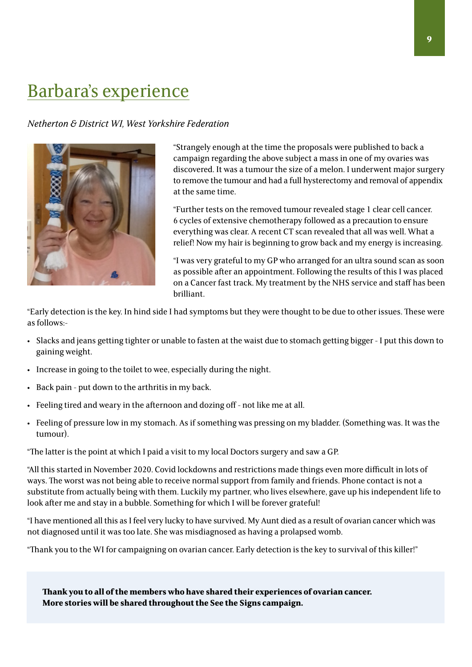## Barbara's experience

#### *Netherton & District WI, West Yorkshire Federation*



"Strangely enough at the time the proposals were published to back a campaign regarding the above subject a mass in one of my ovaries was discovered. It was a tumour the size of a melon. I underwent major surgery to remove the tumour and had a full hysterectomy and removal of appendix at the same time.

"Further tests on the removed tumour revealed stage 1 clear cell cancer. 6 cycles of extensive chemotherapy followed as a precaution to ensure everything was clear. A recent CT scan revealed that all was well. What a relief! Now my hair is beginning to grow back and my energy is increasing.

"I was very grateful to my GP who arranged for an ultra sound scan as soon as possible after an appointment. Following the results of this I was placed on a Cancer fast track. My treatment by the NHS service and staff has been brilliant.

"Early detection is the key. In hind side I had symptoms but they were thought to be due to other issues. These were as follows:-

- Slacks and jeans getting tighter or unable to fasten at the waist due to stomach getting bigger I put this down to gaining weight.
- Increase in going to the toilet to wee, especially during the night.
- Back pain put down to the arthritis in my back.
- Feeling tired and weary in the afternoon and dozing off not like me at all.
- Feeling of pressure low in my stomach. As if something was pressing on my bladder. (Something was. It was the tumour).

"The latter is the point at which I paid a visit to my local Doctors surgery and saw a GP.

"All this started in November 2020. Covid lockdowns and restrictions made things even more difficult in lots of ways. The worst was not being able to receive normal support from family and friends. Phone contact is not a substitute from actually being with them. Luckily my partner, who lives elsewhere, gave up his independent life to look after me and stay in a bubble. Something for which I will be forever grateful!

"I have mentioned all this as I feel very lucky to have survived. My Aunt died as a result of ovarian cancer which was not diagnosed until it was too late. She was misdiagnosed as having a prolapsed womb.

"Thank you to the WI for campaigning on ovarian cancer. Early detection is the key to survival of this killer!"

**Thank you to all of the members who have shared their experiences of ovarian cancer. More stories will be shared throughout the See the Signs campaign.**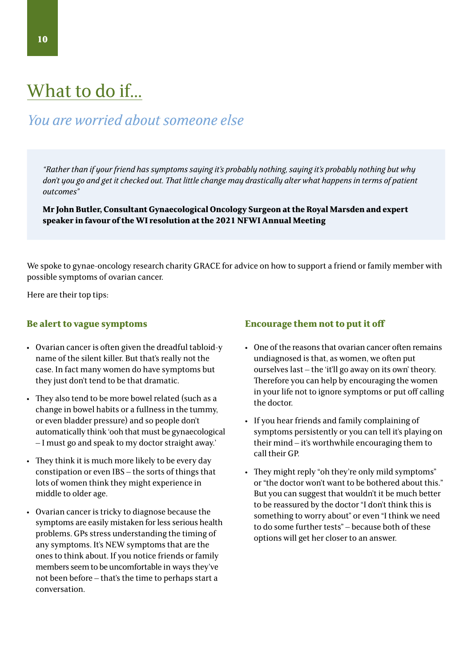## What to do if...

## *You are worried about someone else*

*"Rather than if your friend has symptoms saying it's probably nothing, saying it's probably nothing but why don't you go and get it checked out. That little change may drastically alter what happens in terms of patient outcomes"* 

**Mr John Butler, Consultant Gynaecological Oncology Surgeon at the Royal Marsden and expert speaker in favour of the WI resolution at the 2021 NFWI Annual Meeting**

We spoke to gynae-oncology research charity GRACE for advice on how to support a friend or family member with possible symptoms of ovarian cancer.

Here are their top tips:

#### **Be alert to vague symptoms**

- Ovarian cancer is often given the dreadful tabloid-y name of the silent killer. But that's really not the case. In fact many women do have symptoms but they just don't tend to be that dramatic.
- They also tend to be more bowel related (such as a change in bowel habits or a fullness in the tummy, or even bladder pressure) and so people don't automatically think 'ooh that must be gynaecological – I must go and speak to my doctor straight away.'
- They think it is much more likely to be every day constipation or even IBS – the sorts of things that lots of women think they might experience in middle to older age.
- Ovarian cancer is tricky to diagnose because the symptoms are easily mistaken for less serious health problems. GPs stress understanding the timing of any symptoms. It's NEW symptoms that are the ones to think about. If you notice friends or family members seem to be uncomfortable in ways they've not been before – that's the time to perhaps start a conversation.

#### **Encourage them not to put it off**

- One of the reasons that ovarian cancer often remains undiagnosed is that, as women, we often put ourselves last – the 'it'll go away on its own' theory. Therefore you can help by encouraging the women in your life not to ignore symptoms or put off calling the doctor.
- If you hear friends and family complaining of symptoms persistently or you can tell it's playing on their mind – it's worthwhile encouraging them to call their GP.
- They might reply "oh they're only mild symptoms" or "the doctor won't want to be bothered about this." But you can suggest that wouldn't it be much better to be reassured by the doctor "I don't think this is something to worry about" or even "I think we need to do some further tests" – because both of these options will get her closer to an answer.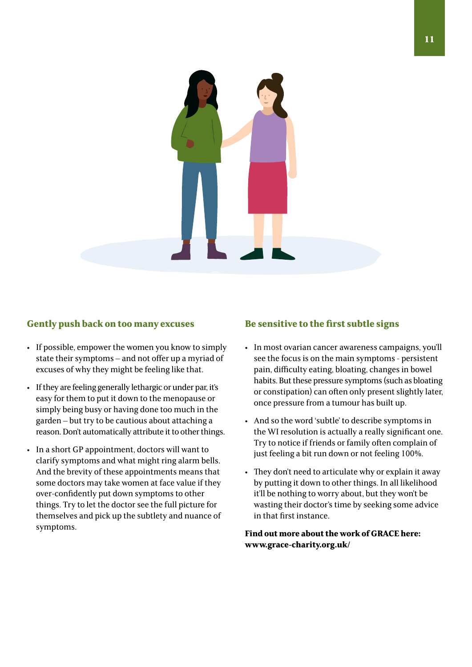

#### Gently push back on too many excuses **Be sensitive to the first subtle signs**

- If possible, empower the women you know to simply state their symptoms – and not offer up a myriad of excuses of why they might be feeling like that.
- If they are feeling generally lethargic or under par, it's easy for them to put it down to the menopause or simply being busy or having done too much in the garden – but try to be cautious about attaching a reason. Don't automatically attribute it to other things.
- In a short GP appointment, doctors will want to clarify symptoms and what might ring alarm bells. And the brevity of these appointments means that some doctors may take women at face value if they over-confidently put down symptoms to other things. Try to let the doctor see the full picture for themselves and pick up the subtlety and nuance of symptoms.

- In most ovarian cancer awareness campaigns, you'll see the focus is on the main symptoms - persistent pain, difficulty eating, bloating, changes in bowel habits. But these pressure symptoms (such as bloating or constipation) can often only present slightly later, once pressure from a tumour has built up.
- And so the word 'subtle' to describe symptoms in the WI resolution is actually a really significant one. Try to notice if friends or family often complain of just feeling a bit run down or not feeling 100%.
- They don't need to articulate why or explain it away by putting it down to other things. In all likelihood it'll be nothing to worry about, but they won't be wasting their doctor's time by seeking some advice in that first instance.

**Find out more about the work of GRACE here: www.grace-charity.org.uk/**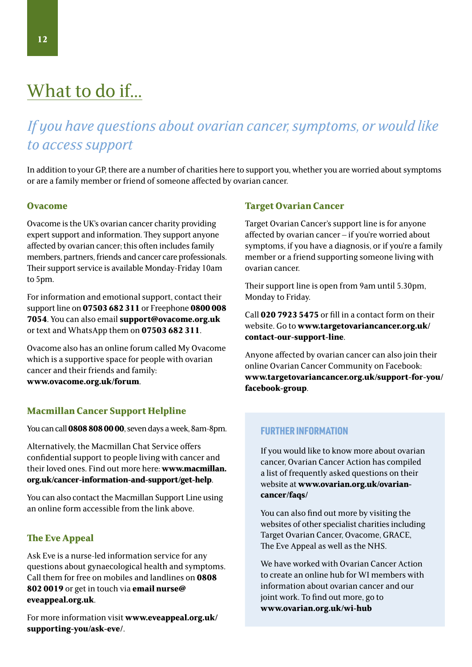# What to do if...

## *If you have questions about ovarian cancer, symptoms, or would like to access support*

In addition to your GP, there are a number of charities here to support you, whether you are worried about symptoms or are a family member or friend of someone affected by ovarian cancer.

#### **Ovacome**

Ovacome is the UK's ovarian cancer charity providing expert support and information. They support anyone affected by ovarian cancer; this often includes family members, partners, friends and cancer care professionals. Their support service is available Monday-Friday 10am to 5pm.

For information and emotional support, contact their support line on **07503 682 311** or Freephone **0800 008 7054**. You can also email **support@ovacome.org.uk** or text and WhatsApp them on **07503 682 311**.

Ovacome also has an online forum called My Ovacome which is a supportive space for people with ovarian cancer and their friends and family: **www.ovacome.org.uk/forum**.

#### **Macmillan Cancer Support Helpline**

You can call **0808 808 00 00**, seven days a week, 8am-8pm.

Alternatively, the Macmillan Chat Service offers confidential support to people living with cancer and their loved ones. Find out more here: **www.macmillan. org.uk/cancer-information-and-support/get-help**.

You can also contact the Macmillan Support Line using an online form accessible from the link above.

#### **The Eve Appeal**

Ask Eve is a nurse-led information service for any questions about gynaecological health and symptoms. Call them for free on mobiles and landlines on **0808 802 0019** or get in touch via **email nurse@ eveappeal.org.uk**.

For more information visit **www.eveappeal.org.uk/ supporting-you/ask-eve/**.

#### **Target Ovarian Cancer**

Target Ovarian Cancer's support line is for anyone affected by ovarian cancer – if you're worried about symptoms, if you have a diagnosis, or if you're a family member or a friend supporting someone living with ovarian cancer.

Their support line is open from 9am until 5.30pm, Monday to Friday.

Call **020 7923 5475** or fill in a contact form on their website. Go to **www.targetovariancancer.org.uk/ contact-our-support-line**.

Anyone affected by ovarian cancer can also join their online Ovarian Cancer Community on Facebook: **www.targetovariancancer.org.uk/support-for-you/ facebook-group**.

#### FURTHER INFORMATION

If you would like to know more about ovarian cancer, Ovarian Cancer Action has compiled a list of frequently asked questions on their website at **www.ovarian.org.uk/ovariancancer/faqs/**

You can also find out more by visiting the websites of other specialist charities including Target Ovarian Cancer, Ovacome, GRACE, The Eve Appeal as well as the NHS.

We have worked with Ovarian Cancer Action to create an online hub for WI members with information about ovarian cancer and our joint work. To find out more, go to **www.ovarian.org.uk/wi-hub**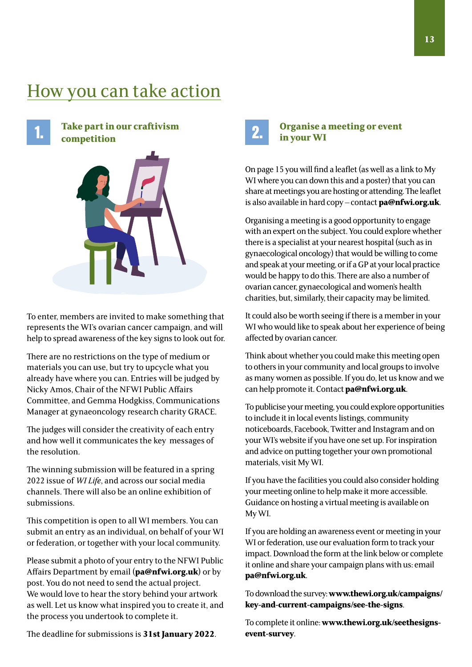## How you can take action

**Take part in our craftivism competition**



To enter, members are invited to make something that represents the WI's ovarian cancer campaign, and will help to spread awareness of the key signs to look out for.

There are no restrictions on the type of medium or materials you can use, but try to upcycle what you already have where you can. Entries will be judged by Nicky Amos, Chair of the NFWI Public Affairs Committee, and Gemma Hodgkiss, Communications Manager at gynaeoncology research charity GRACE.

The judges will consider the creativity of each entry and how well it communicates the key messages of the resolution.

The winning submission will be featured in a spring 2022 issue of *WI Life*, and across our social media channels. There will also be an online exhibition of submissions.

This competition is open to all WI members. You can submit an entry as an individual, on behalf of your WI or federation, or together with your local community.

Please submit a photo of your entry to the NFWI Public Affairs Department by email (**pa@nfwi.org.uk**) or by post. You do not need to send the actual project. We would love to hear the story behind your artwork as well. Let us know what inspired you to create it, and the process you undertook to complete it.

The deadline for submissions is **31st January 2022**.



# **Organise a meeting or event in your WI**

On page 15 you will find a leaflet (as well as a link to My WI where you can down this and a poster) that you can share at meetings you are hosting or attending. The leaflet is also available in hard copy – contact **pa@nfwi.org.uk**.

Organising a meeting is a good opportunity to engage with an expert on the subject. You could explore whether there is a specialist at your nearest hospital (such as in gynaecological oncology) that would be willing to come and speak at your meeting, or if a GP at your local practice would be happy to do this. There are also a number of ovarian cancer, gynaecological and women's health charities, but, similarly, their capacity may be limited.

It could also be worth seeing if there is a member in your WI who would like to speak about her experience of being affected by ovarian cancer.

Think about whether you could make this meeting open to others in your community and local groups to involve as many women as possible. If you do, let us know and we can help promote it. Contact **pa@nfwi.org.uk**.

To publicise your meeting, you could explore opportunities to include it in local events listings, community noticeboards, Facebook, Twitter and Instagram and on your WI's website if you have one set up. For inspiration and advice on putting together your own promotional materials, visit My WI.

If you have the facilities you could also consider holding your meeting online to help make it more accessible. Guidance on hosting a virtual meeting is available on My WI.

If you are holding an awareness event or meeting in your WI or federation, use our evaluation form to track your impact. Download the form at the link below or complete it online and share your campaign plans with us: email **pa@nfwi.org.uk**.

To download the survey: **www.thewi.org.uk/campaigns/ key-and-current-campaigns/see-the-signs**.

To complete it online: **www.thewi.org.uk/seethesignsevent-survey**.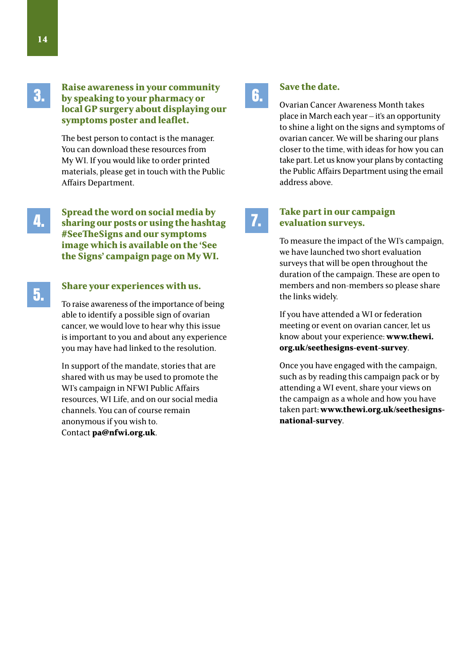3.

4.

5.

**14**

#### **Raise awareness in your community by speaking to your pharmacy or local GP surgery about displaying our symptoms poster and leaflet.**

The best person to contact is the manager. You can download these resources from My WI. If you would like to order printed materials, please get in touch with the Public Affairs Department.

**Spread the word on social media by sharing our posts or using the hashtag #SeeTheSigns and our symptoms image which is available on the 'See the Signs' campaign page on My WI.** 

#### **Share your experiences with us.**

To raise awareness of the importance of being able to identify a possible sign of ovarian cancer, we would love to hear why this issue is important to you and about any experience you may have had linked to the resolution.

In support of the mandate, stories that are shared with us may be used to promote the WI's campaign in NFWI Public Affairs resources, WI Life, and on our social media channels. You can of course remain anonymous if you wish to. Contact **pa@nfwi.org.uk**.

## 6.

#### **Save the date.**

Ovarian Cancer Awareness Month takes place in March each year – it's an opportunity to shine a light on the signs and symptoms of ovarian cancer. We will be sharing our plans closer to the time, with ideas for how you can take part. Let us know your plans by contacting the Public Affairs Department using the email address above.

# 7.

#### **Take part in our campaign evaluation surveys.**

To measure the impact of the WI's campaign, we have launched two short evaluation surveys that will be open throughout the duration of the campaign. These are open to members and non-members so please share the links widely.

If you have attended a WI or federation meeting or event on ovarian cancer, let us know about your experience: **www.thewi. org.uk/seethesigns-event-survey**.

Once you have engaged with the campaign, such as by reading this campaign pack or by attending a WI event, share your views on the campaign as a whole and how you have taken part: **www.thewi.org.uk/seethesignsnational-survey**.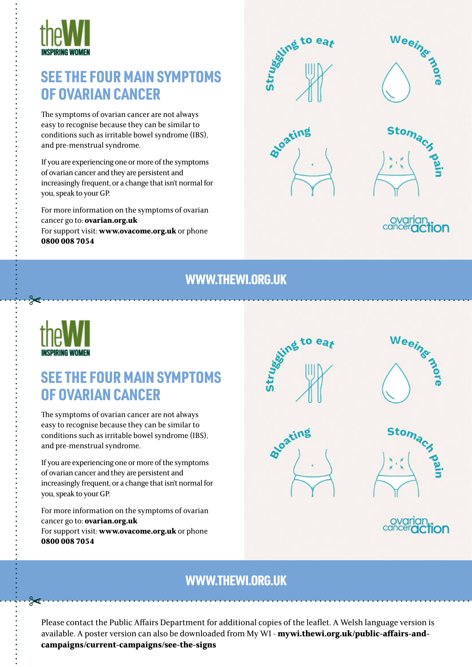

## SEE THE FOUR MAIN SYMPTOMS OF OVARIAN CANCER

The symptoms of ovarian cancer are not always easy to recognise because they can be similar to conditions such as irritable bowel syndrome (IBS), and pre-menstrual syndrome.

If you are experiencing one or more of the symptoms of ovarian cancer and they are persistent and increasingly frequent, or a change that isn't normal for you, speak to your GP.

For more information on the symptoms of ovarian cancer go to: **ovarian.org.uk**  For support visit: **www.ovacome.org.uk** or phone **0800 008 7054**





on

## WWW.THEWI.ORG.UK



 $\approx$ 

## SEE THE FOUR MAIN SYMPTOMS OF OVARIAN CANCER

The symptoms of ovarian cancer are not always easy to recognise because they can be similar to conditions such as irritable bowel syndrome (IBS), and pre-menstrual syndrome.

If you are experiencing one or more of the symptoms of ovarian cancer and they are persistent and increasingly frequent, or a change that isn't normal for you, speak to your GP.

For more information on the symptoms of ovarian cancer go to: **ovarian.org.uk**  For support visit: **www.ovacome.org.uk** or phone **0800 008 7054**





## WWW.THEWI.ORG.UK

Please contact the Public Affairs Department for additional copies of the leaflet. A Welsh language version is available. A poster version can also be downloaded from My WI - **mywi.thewi.org.uk/public-affairs-andcampaigns/current-campaigns/see-the-signs**